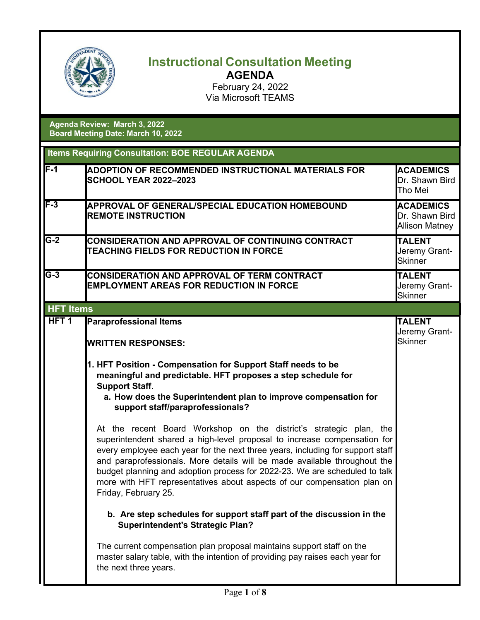

## **Instructional Consultation Meeting AGENDA**

February 24, 2022 Via Microsoft TEAMS

**Agenda Review: March 3, 2022 Board Meeting Date: March 10, 2022**

| <b>Items Requiring Consultation: BOE REGULAR AGENDA</b> |                                                                                                                                                                                                                                                                                                                                                                                                                                                                                                |                                                             |
|---------------------------------------------------------|------------------------------------------------------------------------------------------------------------------------------------------------------------------------------------------------------------------------------------------------------------------------------------------------------------------------------------------------------------------------------------------------------------------------------------------------------------------------------------------------|-------------------------------------------------------------|
| $F-1$                                                   | ADOPTION OF RECOMMENDED INSTRUCTIONAL MATERIALS FOR<br><b>SCHOOL YEAR 2022-2023</b>                                                                                                                                                                                                                                                                                                                                                                                                            | <b>ACADEMICS</b><br>Dr. Shawn Bird<br>Tho Mei               |
| $F-3$                                                   | <b>APPROVAL OF GENERAL/SPECIAL EDUCATION HOMEBOUND</b><br><b>REMOTE INSTRUCTION</b>                                                                                                                                                                                                                                                                                                                                                                                                            | <b>ACADEMICS</b><br>Dr. Shawn Bird<br><b>Allison Matney</b> |
| $G-2$                                                   | <b>CONSIDERATION AND APPROVAL OF CONTINUING CONTRACT</b><br>TEACHING FIELDS FOR REDUCTION IN FORCE                                                                                                                                                                                                                                                                                                                                                                                             | <b>TALENT</b><br>Jeremy Grant-<br><b>Skinner</b>            |
| $\overline{G-3}$                                        | CONSIDERATION AND APPROVAL OF TERM CONTRACT<br><b>EMPLOYMENT AREAS FOR REDUCTION IN FORCE</b>                                                                                                                                                                                                                                                                                                                                                                                                  | <b>TALENT</b><br>Jeremy Grant-<br><b>Skinner</b>            |
| <b>HFT Items</b>                                        |                                                                                                                                                                                                                                                                                                                                                                                                                                                                                                |                                                             |
| HFT <sub>1</sub>                                        | <b>Paraprofessional Items</b><br><b>WRITTEN RESPONSES:</b>                                                                                                                                                                                                                                                                                                                                                                                                                                     | <b>TALENT</b><br>Jeremy Grant-<br>Skinner                   |
|                                                         | 1. HFT Position - Compensation for Support Staff needs to be<br>meaningful and predictable. HFT proposes a step schedule for<br><b>Support Staff.</b><br>a. How does the Superintendent plan to improve compensation for<br>support staff/paraprofessionals?                                                                                                                                                                                                                                   |                                                             |
|                                                         | At the recent Board Workshop on the district's strategic plan, the<br>superintendent shared a high-level proposal to increase compensation for<br>every employee each year for the next three years, including for support staff<br>and paraprofessionals. More details will be made available throughout the<br>budget planning and adoption process for 2022-23. We are scheduled to talk<br>more with HFT representatives about aspects of our compensation plan on<br>Friday, February 25. |                                                             |
|                                                         | b. Are step schedules for support staff part of the discussion in the<br><b>Superintendent's Strategic Plan?</b>                                                                                                                                                                                                                                                                                                                                                                               |                                                             |
|                                                         | The current compensation plan proposal maintains support staff on the<br>master salary table, with the intention of providing pay raises each year for<br>the next three years.                                                                                                                                                                                                                                                                                                                |                                                             |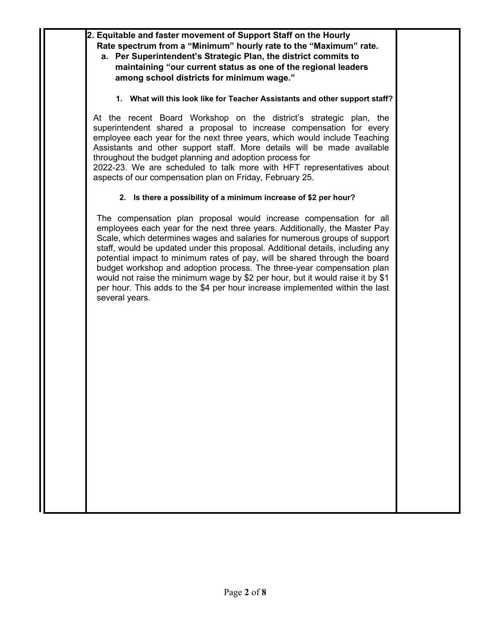**2. Equitable and faster movement of Support Staff on the Hourly Rate spectrum from a "Minimum" hourly rate to the "Maximum" rate. a. Per Superintendent's Strategic Plan, the district commits to maintaining "our current status as one of the regional leaders among school districts for minimum wage." 1. What will this look like for Teacher Assistants and other support staff?**  At the recent Board Workshop on the district's strategic plan, the superintendent shared a proposal to increase compensation for every employee each year for the next three years, which would include Teaching Assistants and other support staff. More details will be made available throughout the budget planning and adoption process for 2022-23. We are scheduled to talk more with HFT representatives about aspects of our compensation plan on Friday, February 25. **2. Is there a possibility of a minimum increase of \$2 per hour?** The compensation plan proposal would increase compensation for all employees each year for the next three years. Additionally, the Master Pay Scale, which determines wages and salaries for numerous groups of support staff, would be updated under this proposal. Additional details, including any potential impact to minimum rates of pay, will be shared through the board budget workshop and adoption process. The three-year compensation plan would not raise the minimum wage by \$2 per hour, but it would raise it by \$1 per hour. This adds to the \$4 per hour increase implemented within the last several years.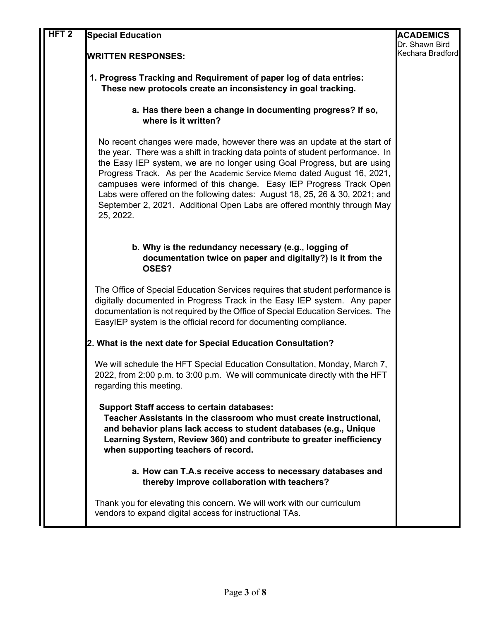| HFT <sub>2</sub> | <b>Special Education</b>                                                                                                                                                                                                                                                                                                                                                                                                                                                                                                                                        | <b>ACADEMICS</b> |
|------------------|-----------------------------------------------------------------------------------------------------------------------------------------------------------------------------------------------------------------------------------------------------------------------------------------------------------------------------------------------------------------------------------------------------------------------------------------------------------------------------------------------------------------------------------------------------------------|------------------|
|                  |                                                                                                                                                                                                                                                                                                                                                                                                                                                                                                                                                                 | Dr. Shawn Bird   |
|                  | <b>WRITTEN RESPONSES:</b>                                                                                                                                                                                                                                                                                                                                                                                                                                                                                                                                       | Kechara Bradford |
|                  | 1. Progress Tracking and Requirement of paper log of data entries:<br>These new protocols create an inconsistency in goal tracking.                                                                                                                                                                                                                                                                                                                                                                                                                             |                  |
|                  | a. Has there been a change in documenting progress? If so,<br>where is it written?                                                                                                                                                                                                                                                                                                                                                                                                                                                                              |                  |
|                  | No recent changes were made, however there was an update at the start of<br>the year. There was a shift in tracking data points of student performance. In<br>the Easy IEP system, we are no longer using Goal Progress, but are using<br>Progress Track. As per the Academic Service Memo dated August 16, 2021,<br>campuses were informed of this change. Easy IEP Progress Track Open<br>Labs were offered on the following dates: August 18, 25, 26 & 30, 2021; and<br>September 2, 2021. Additional Open Labs are offered monthly through May<br>25, 2022. |                  |
|                  | b. Why is the redundancy necessary (e.g., logging of<br>documentation twice on paper and digitally?) Is it from the<br>OSES?                                                                                                                                                                                                                                                                                                                                                                                                                                    |                  |
|                  | The Office of Special Education Services requires that student performance is<br>digitally documented in Progress Track in the Easy IEP system. Any paper<br>documentation is not required by the Office of Special Education Services. The<br>EasyIEP system is the official record for documenting compliance.                                                                                                                                                                                                                                                |                  |
|                  | 2. What is the next date for Special Education Consultation?                                                                                                                                                                                                                                                                                                                                                                                                                                                                                                    |                  |
|                  | We will schedule the HFT Special Education Consultation, Monday, March 7,<br>2022, from 2:00 p.m. to 3:00 p.m. We will communicate directly with the HFT<br>regarding this meeting.                                                                                                                                                                                                                                                                                                                                                                             |                  |
|                  | <b>Support Staff access to certain databases:</b><br>Teacher Assistants in the classroom who must create instructional,<br>and behavior plans lack access to student databases (e.g., Unique<br>Learning System, Review 360) and contribute to greater inefficiency<br>when supporting teachers of record.                                                                                                                                                                                                                                                      |                  |
|                  | a. How can T.A.s receive access to necessary databases and<br>thereby improve collaboration with teachers?                                                                                                                                                                                                                                                                                                                                                                                                                                                      |                  |
|                  | Thank you for elevating this concern. We will work with our curriculum<br>vendors to expand digital access for instructional TAs.                                                                                                                                                                                                                                                                                                                                                                                                                               |                  |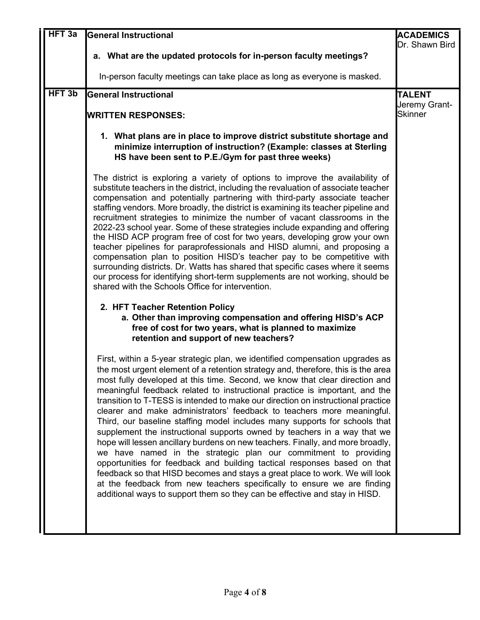| HFT <sub>3a</sub> | <b>General Instructional</b>                                                                                                                                                                                                                                                                                                                                                                                                                                                                                                                                                                                                                                                                                                                                                                                                                                                                                                                                                                                                                                                                                                     | <b>ACADEMICS</b><br>Dr. Shawn Bird               |
|-------------------|----------------------------------------------------------------------------------------------------------------------------------------------------------------------------------------------------------------------------------------------------------------------------------------------------------------------------------------------------------------------------------------------------------------------------------------------------------------------------------------------------------------------------------------------------------------------------------------------------------------------------------------------------------------------------------------------------------------------------------------------------------------------------------------------------------------------------------------------------------------------------------------------------------------------------------------------------------------------------------------------------------------------------------------------------------------------------------------------------------------------------------|--------------------------------------------------|
|                   | a. What are the updated protocols for in-person faculty meetings?                                                                                                                                                                                                                                                                                                                                                                                                                                                                                                                                                                                                                                                                                                                                                                                                                                                                                                                                                                                                                                                                |                                                  |
|                   | In-person faculty meetings can take place as long as everyone is masked.                                                                                                                                                                                                                                                                                                                                                                                                                                                                                                                                                                                                                                                                                                                                                                                                                                                                                                                                                                                                                                                         |                                                  |
| HFT <sub>3b</sub> | <b>General Instructional</b><br><b>WRITTEN RESPONSES:</b>                                                                                                                                                                                                                                                                                                                                                                                                                                                                                                                                                                                                                                                                                                                                                                                                                                                                                                                                                                                                                                                                        | <b>TALENT</b><br>Jeremy Grant-<br><b>Skinner</b> |
|                   | 1. What plans are in place to improve district substitute shortage and<br>minimize interruption of instruction? (Example: classes at Sterling<br>HS have been sent to P.E./Gym for past three weeks)                                                                                                                                                                                                                                                                                                                                                                                                                                                                                                                                                                                                                                                                                                                                                                                                                                                                                                                             |                                                  |
|                   | The district is exploring a variety of options to improve the availability of<br>substitute teachers in the district, including the revaluation of associate teacher<br>compensation and potentially partnering with third-party associate teacher<br>staffing vendors. More broadly, the district is examining its teacher pipeline and<br>recruitment strategies to minimize the number of vacant classrooms in the<br>2022-23 school year. Some of these strategies include expanding and offering<br>the HISD ACP program free of cost for two years, developing grow your own<br>teacher pipelines for paraprofessionals and HISD alumni, and proposing a<br>compensation plan to position HISD's teacher pay to be competitive with<br>surrounding districts. Dr. Watts has shared that specific cases where it seems<br>our process for identifying short-term supplements are not working, should be<br>shared with the Schools Office for intervention.                                                                                                                                                                 |                                                  |
|                   | 2. HFT Teacher Retention Policy<br>a. Other than improving compensation and offering HISD's ACP<br>free of cost for two years, what is planned to maximize<br>retention and support of new teachers?                                                                                                                                                                                                                                                                                                                                                                                                                                                                                                                                                                                                                                                                                                                                                                                                                                                                                                                             |                                                  |
|                   | First, within a 5-year strategic plan, we identified compensation upgrades as<br>the most urgent element of a retention strategy and, therefore, this is the area<br>most fully developed at this time. Second, we know that clear direction and<br>meaningful feedback related to instructional practice is important, and the<br>transition to T-TESS is intended to make our direction on instructional practice<br>clearer and make administrators' feedback to teachers more meaningful.<br>Third, our baseline staffing model includes many supports for schools that<br>supplement the instructional supports owned by teachers in a way that we<br>hope will lessen ancillary burdens on new teachers. Finally, and more broadly,<br>we have named in the strategic plan our commitment to providing<br>opportunities for feedback and building tactical responses based on that<br>feedback so that HISD becomes and stays a great place to work. We will look<br>at the feedback from new teachers specifically to ensure we are finding<br>additional ways to support them so they can be effective and stay in HISD. |                                                  |
|                   |                                                                                                                                                                                                                                                                                                                                                                                                                                                                                                                                                                                                                                                                                                                                                                                                                                                                                                                                                                                                                                                                                                                                  |                                                  |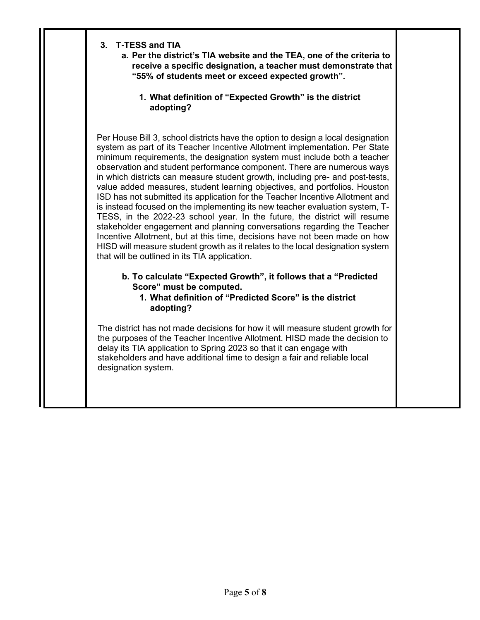- **3. T-TESS and TIA**
	- **a. Per the district's TIA website and the TEA, one of the criteria to receive a specific designation, a teacher must demonstrate that "55% of students meet or exceed expected growth".**
		- **1. What definition of "Expected Growth" is the district adopting?**

Per House Bill 3, school districts have the option to design a local designation system as part of its Teacher Incentive Allotment implementation. Per State minimum requirements, the designation system must include both a teacher observation and student performance component. There are numerous ways in which districts can measure student growth, including pre- and post-tests, value added measures, student learning objectives, and portfolios. Houston ISD has not submitted its application for the Teacher Incentive Allotment and is instead focused on the implementing its new teacher evaluation system, T-TESS, in the 2022-23 school year. In the future, the district will resume stakeholder engagement and planning conversations regarding the Teacher Incentive Allotment, but at this time, decisions have not been made on how HISD will measure student growth as it relates to the local designation system that will be outlined in its TIA application.

- **b. To calculate "Expected Growth", it follows that a "Predicted Score" must be computed.**
	- **1. What definition of "Predicted Score" is the district adopting?**

The district has not made decisions for how it will measure student growth for the purposes of the Teacher Incentive Allotment. HISD made the decision to delay its TIA application to Spring 2023 so that it can engage with stakeholders and have additional time to design a fair and reliable local designation system.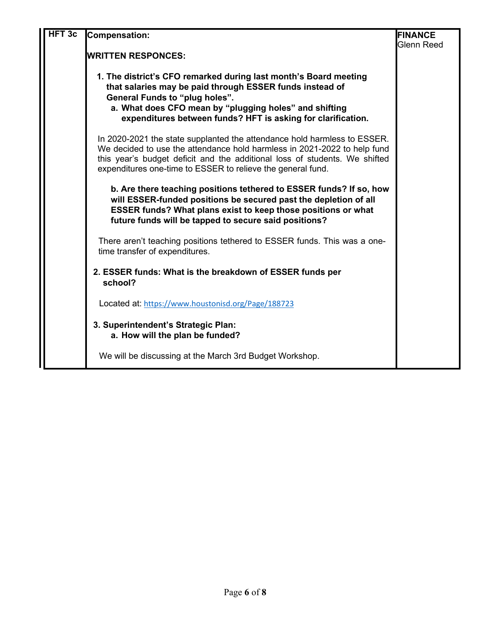| HFT <sub>3c</sub> | <b>Compensation:</b>                                                                                                                                                                                                                                                                              | <b>FINANCE</b><br>Glenn Reed |
|-------------------|---------------------------------------------------------------------------------------------------------------------------------------------------------------------------------------------------------------------------------------------------------------------------------------------------|------------------------------|
|                   | <b>IWRITTEN RESPONCES:</b>                                                                                                                                                                                                                                                                        |                              |
|                   | 1. The district's CFO remarked during last month's Board meeting<br>that salaries may be paid through ESSER funds instead of<br>General Funds to "plug holes".<br>a. What does CFO mean by "plugging holes" and shifting<br>expenditures between funds? HFT is asking for clarification.          |                              |
|                   | In 2020-2021 the state supplanted the attendance hold harmless to ESSER.<br>We decided to use the attendance hold harmless in 2021-2022 to help fund<br>this year's budget deficit and the additional loss of students. We shifted<br>expenditures one-time to ESSER to relieve the general fund. |                              |
|                   | b. Are there teaching positions tethered to ESSER funds? If so, how<br>will ESSER-funded positions be secured past the depletion of all<br><b>ESSER funds? What plans exist to keep those positions or what</b><br>future funds will be tapped to secure said positions?                          |                              |
|                   | There aren't teaching positions tethered to ESSER funds. This was a one-<br>time transfer of expenditures.                                                                                                                                                                                        |                              |
|                   | 2. ESSER funds: What is the breakdown of ESSER funds per<br>school?                                                                                                                                                                                                                               |                              |
|                   | Located at: https://www.houstonisd.org/Page/188723                                                                                                                                                                                                                                                |                              |
|                   | 3. Superintendent's Strategic Plan:<br>a. How will the plan be funded?                                                                                                                                                                                                                            |                              |
|                   | We will be discussing at the March 3rd Budget Workshop.                                                                                                                                                                                                                                           |                              |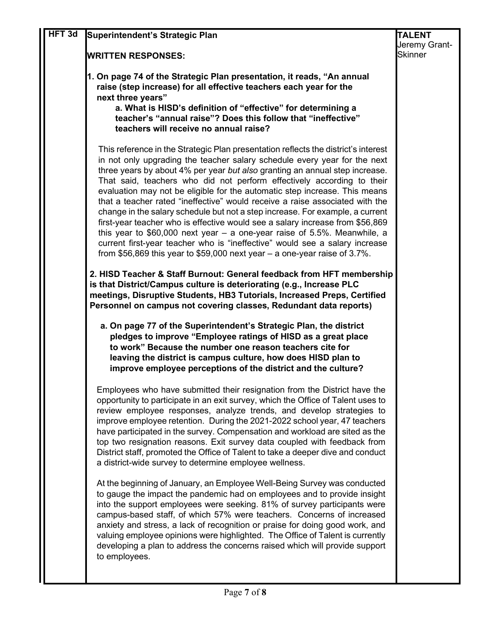| HFT <sub>3d</sub> | Superintendent's Strategic Plan                                                                                                                                                                                                                                                                                                                                                                                                                                                                                                                                                                                                                                                                                                                                                                                                                                                                     | <b>TALENT</b>  |
|-------------------|-----------------------------------------------------------------------------------------------------------------------------------------------------------------------------------------------------------------------------------------------------------------------------------------------------------------------------------------------------------------------------------------------------------------------------------------------------------------------------------------------------------------------------------------------------------------------------------------------------------------------------------------------------------------------------------------------------------------------------------------------------------------------------------------------------------------------------------------------------------------------------------------------------|----------------|
|                   |                                                                                                                                                                                                                                                                                                                                                                                                                                                                                                                                                                                                                                                                                                                                                                                                                                                                                                     | Jeremy Grant-  |
|                   | <b>WRITTEN RESPONSES:</b>                                                                                                                                                                                                                                                                                                                                                                                                                                                                                                                                                                                                                                                                                                                                                                                                                                                                           | <b>Skinner</b> |
|                   | 1. On page 74 of the Strategic Plan presentation, it reads, "An annual<br>raise (step increase) for all effective teachers each year for the<br>next three years"<br>a. What is HISD's definition of "effective" for determining a<br>teacher's "annual raise"? Does this follow that "ineffective"<br>teachers will receive no annual raise?                                                                                                                                                                                                                                                                                                                                                                                                                                                                                                                                                       |                |
|                   | This reference in the Strategic Plan presentation reflects the district's interest<br>in not only upgrading the teacher salary schedule every year for the next<br>three years by about 4% per year but also granting an annual step increase.<br>That said, teachers who did not perform effectively according to their<br>evaluation may not be eligible for the automatic step increase. This means<br>that a teacher rated "ineffective" would receive a raise associated with the<br>change in the salary schedule but not a step increase. For example, a current<br>first-year teacher who is effective would see a salary increase from \$56,869<br>this year to $$60,000$ next year - a one-year raise of 5.5%. Meanwhile, a<br>current first-year teacher who is "ineffective" would see a salary increase<br>from \$56,869 this year to \$59,000 next year $-$ a one-year raise of 3.7%. |                |
|                   | 2. HISD Teacher & Staff Burnout: General feedback from HFT membership<br>is that District/Campus culture is deteriorating (e.g., Increase PLC<br>meetings, Disruptive Students, HB3 Tutorials, Increased Preps, Certified<br>Personnel on campus not covering classes, Redundant data reports)                                                                                                                                                                                                                                                                                                                                                                                                                                                                                                                                                                                                      |                |
|                   | a. On page 77 of the Superintendent's Strategic Plan, the district<br>pledges to improve "Employee ratings of HISD as a great place<br>to work" Because the number one reason teachers cite for<br>leaving the district is campus culture, how does HISD plan to<br>improve employee perceptions of the district and the culture?                                                                                                                                                                                                                                                                                                                                                                                                                                                                                                                                                                   |                |
|                   | Employees who have submitted their resignation from the District have the<br>opportunity to participate in an exit survey, which the Office of Talent uses to<br>review employee responses, analyze trends, and develop strategies to<br>improve employee retention. During the 2021-2022 school year, 47 teachers<br>have participated in the survey. Compensation and workload are sited as the<br>top two resignation reasons. Exit survey data coupled with feedback from<br>District staff, promoted the Office of Talent to take a deeper dive and conduct<br>a district-wide survey to determine employee wellness.                                                                                                                                                                                                                                                                          |                |
|                   | At the beginning of January, an Employee Well-Being Survey was conducted<br>to gauge the impact the pandemic had on employees and to provide insight<br>into the support employees were seeking. 81% of survey participants were<br>campus-based staff, of which 57% were teachers. Concerns of increased<br>anxiety and stress, a lack of recognition or praise for doing good work, and<br>valuing employee opinions were highlighted. The Office of Talent is currently<br>developing a plan to address the concerns raised which will provide support<br>to employees.                                                                                                                                                                                                                                                                                                                          |                |